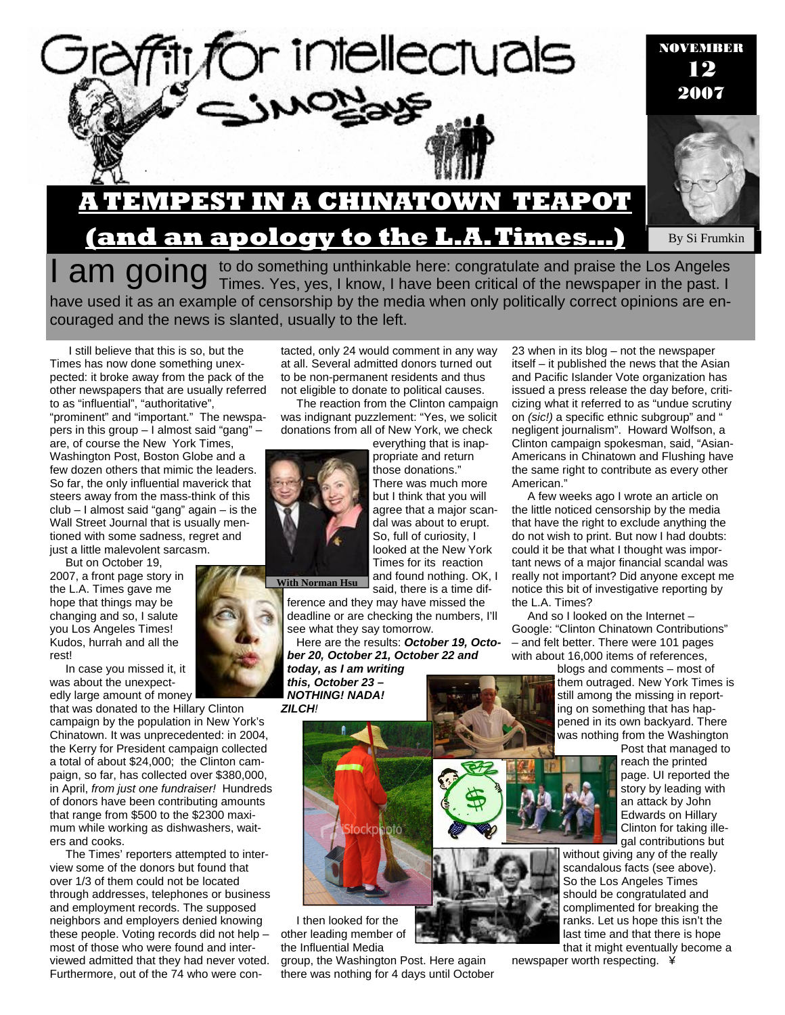

have used it as an example of censorship by the media when only politically correct opinions are encouraged and the news is slanted, usually to the left.

 I still believe that this is so, but the Times has now done something unexpected: it broke away from the pack of the other newspapers that are usually referred to as "influential", "authoritative", "prominent" and "important." The newspapers in this group – I almost said "gang" – are, of course the New York Times, Washington Post, Boston Globe and a few dozen others that mimic the leaders. So far, the only influential maverick that steers away from the mass-think of this club – I almost said "gang" again – is the Wall Street Journal that is usually mentioned with some sadness, regret and just a little malevolent sarcasm.

But on October 19, 2007, a front page story in the L.A. Times gave me hope that things may be changing and so, I salute you Los Angeles Times! Kudos, hurrah and all the rest!

In case you missed it, it was about the unexpectedly large amount of money

that was donated to the Hillary Clinton campaign by the population in New York's Chinatown. It was unprecedented: in 2004, the Kerry for President campaign collected a total of about \$24,000; the Clinton campaign, so far, has collected over \$380,000, in April, *from just one fundraiser!* Hundreds of donors have been contributing amounts that range from \$500 to the \$2300 maximum while working as dishwashers, waiters and cooks.

The Times' reporters attempted to interview some of the donors but found that over 1/3 of them could not be located through addresses, telephones or business and employment records. The supposed neighbors and employers denied knowing these people. Voting records did not help – most of those who were found and interviewed admitted that they had never voted. Furthermore, out of the 74 who were contacted, only 24 would comment in any way at all. Several admitted donors turned out to be non-permanent residents and thus not eligible to donate to political causes.

The reaction from the Clinton campaign was indignant puzzlement: "Yes, we solicit donations from all of New York, we check everything that is inap-



**With Norman Hsu** 

said, there is a time difference and they may have missed the deadline or are checking the numbers, I'll see what they say tomorrow.

Here are the results: *October 19, October 20, October 21, October 22 and today, as I am writing this, October 23 –* 

*NOTHING! NADA! ZILCH!* 



I then looked for the other leading member of the Influential Media

group, the Washington Post. Here again there was nothing for 4 days until October 23 when in its blog – not the newspaper itself – it published the news that the Asian and Pacific Islander Vote organization has issued a press release the day before, criticizing what it referred to as "undue scrutiny on *(sic!)* a specific ethnic subgroup" and " negligent journalism". Howard Wolfson, a Clinton campaign spokesman, said, "Asian-Americans in Chinatown and Flushing have the same right to contribute as every other American."

A few weeks ago I wrote an article on the little noticed censorship by the media that have the right to exclude anything the do not wish to print. But now I had doubts: could it be that what I thought was important news of a major financial scandal was really not important? Did anyone except me notice this bit of investigative reporting by the L.A. Times?

And so I looked on the Internet – Google: "Clinton Chinatown Contributions" – and felt better. There were 101 pages with about 16,000 items of references,

> blogs and comments – most of them outraged. New York Times is still among the missing in reporting on something that has happened in its own backyard. There was nothing from the Washington

Post that managed to reach the printed page. UI reported the story by leading with an attack by John Edwards on Hillary Clinton for taking illegal contributions but

without giving any of the really scandalous facts (see above). So the Los Angeles Times should be congratulated and complimented for breaking the ranks. Let us hope this isn't the last time and that there is hope that it might eventually become a

newspaper worth respecting. ¥



and found nothing. OK, I

propriate and return those donations." There was much more but I think that you will agree that a major scandal was about to erupt. So, full of curiosity, I looked at the New York Times for its reaction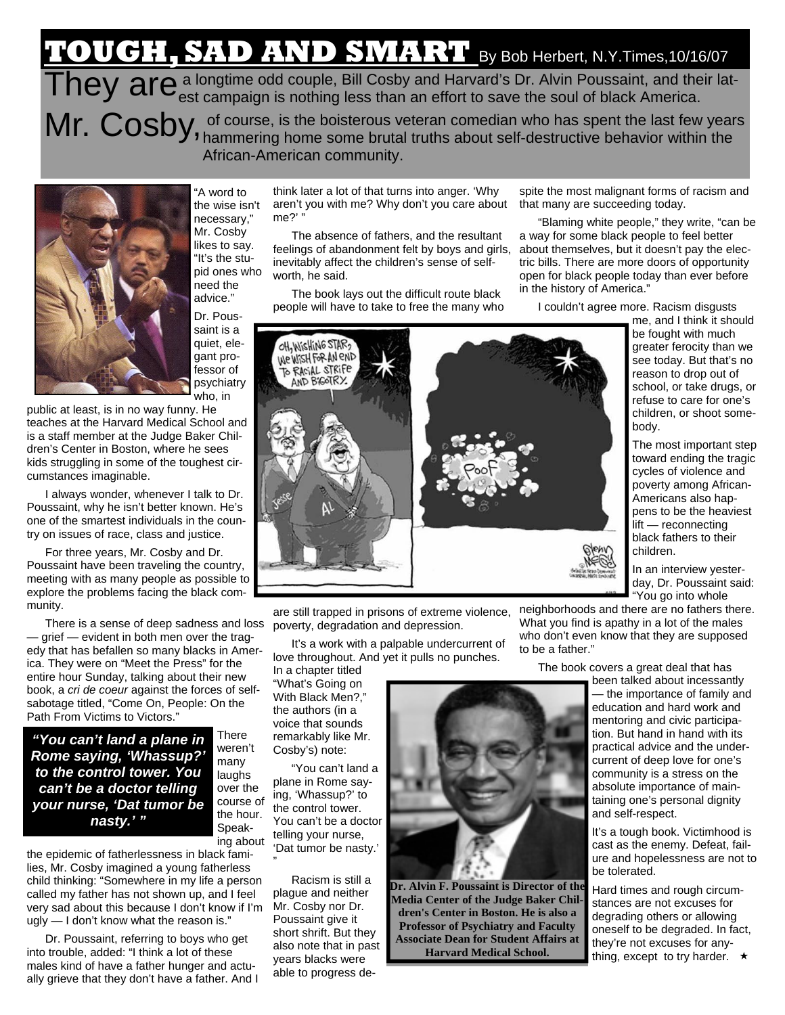## **TOUGH, SAD AND SMART** By Bob Herbert, N.Y.Times,10/16/07

They are a longtime odd couple, Bill Cosby and Harvard's Dr. Alvin Poussaint, and their lat-<br>They are campaign is nothing less than an effort to save the soul of black America. Mr. Cosby, of course, is the boisterous veteran comedian who has spent the last few years Mr. Cosby, hammering home some brutal truths about self-destructive behavior within the

African-American community.



"A word to the wise isn't necessary," Mr. Cosby likes to say. "It's the stupid ones who need the advice."

Dr. Poussaint is a quiet, elegant professor of psychiatry who, in

public at least, is in no way funny. He teaches at the Harvard Medical School and is a staff member at the Judge Baker Children's Center in Boston, where he sees kids struggling in some of the toughest circumstances imaginable.

I always wonder, whenever I talk to Dr. Poussaint, why he isn't better known. He's one of the smartest individuals in the country on issues of race, class and justice.

For three years, Mr. Cosby and Dr. Poussaint have been traveling the country, meeting with as many people as possible to explore the problems facing the black community.

There is a sense of deep sadness and loss — grief — evident in both men over the tragedy that has befallen so many blacks in America. They were on "Meet the Press" for the entire hour Sunday, talking about their new book, a *cri de coeur* against the forces of selfsabotage titled, "Come On, People: On the Path From Victims to Victors."

*"You can't land a plane in Rome saying, 'Whassup?' to the control tower. You can't be a doctor telling your nurse, 'Dat tumor be nasty.' "* 

the epidemic of fatherlessness in black families, Mr. Cosby imagined a young fatherless child thinking: "Somewhere in my life a person called my father has not shown up, and I feel very sad about this because I don't know if I'm ugly — I don't know what the reason is."

Dr. Poussaint, referring to boys who get into trouble, added: "I think a lot of these males kind of have a father hunger and actually grieve that they don't have a father. And I

think later a lot of that turns into anger. 'Why aren't you with me? Why don't you care about me?'

The absence of fathers, and the resultant feelings of abandonment felt by boys and girls, inevitably affect the children's sense of selfworth, he said.

The book lays out the difficult route black people will have to take to free the many who

spite the most malignant forms of racism and that many are succeeding today.

"Blaming white people," they write, "can be a way for some black people to feel better about themselves, but it doesn't pay the electric bills. There are more doors of opportunity open for black people today than ever before in the history of America."

I couldn't agree more. Racism disgusts

me, and I think it should be fought with much greater ferocity than we see today. But that's no reason to drop out of school, or take drugs, or refuse to care for one's children, or shoot somebody. The most important step toward ending the tragic cycles of violence and poverty among African-

Americans also happens to be the heaviest lift — reconnecting black fathers to their children.

In an interview yesterday, Dr. Poussaint said: "You go into whole

are still trapped in prisons of extreme violence, poverty, degradation and depression.

It's a work with a palpable undercurrent of love throughout. And yet it pulls no punches.

In a chapter titled "What's Going on With Black Men?,' the authors (in a voice that sounds remarkably like Mr. Cosby's) note:

OH, WISHING STAR! WE WISH FOR AN END TO RACIAL STRIFE AND BIGOTRY

"You can't land a plane in Rome saying, 'Whassup?' to the control tower. You can't be a doctor telling your nurse, 'Dat tumor be nasty.' "

Racism is still a plague and neither Mr. Cosby nor Dr. Poussaint give it short shrift. But they also note that in past years blacks were able to progress de-



**Dr. Alvin F. Poussaint is Director of the Media Center of the Judge Baker Children's Center in Boston. He is also a Professor of Psychiatry and Faculty Associate Dean for Student Affairs at Harvard Medical School.** 

neighborhoods and there are no fathers there. What you find is apathy in a lot of the males who don't even know that they are supposed to be a father."

The book covers a great deal that has

been talked about incessantly — the importance of family and education and hard work and mentoring and civic participation. But hand in hand with its practical advice and the undercurrent of deep love for one's community is a stress on the absolute importance of maintaining one's personal dignity and self-respect.

It's a tough book. Victimhood is cast as the enemy. Defeat, failure and hopelessness are not to be tolerated.

Hard times and rough circumstances are not excuses for degrading others or allowing oneself to be degraded. In fact, they're not excuses for anything, except to try harder.  $\star$ 

**There** weren't many laughs over the course of the hour. Speaking about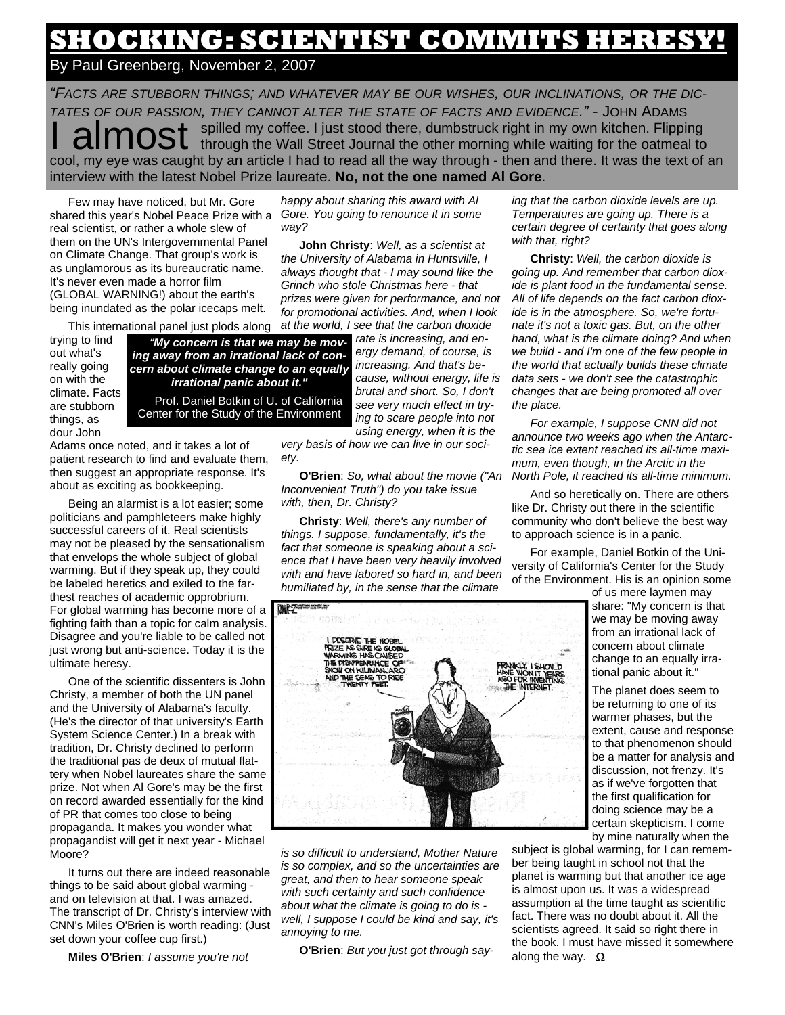## **SHOCKING: SCIENTIST COMMITS HERESY!**

By Paul Greenberg, November 2, 2007

*"FACTS ARE STUBBORN THINGS; AND WHATEVER MAY BE OUR WISHES, OUR INCLINATIONS, OR THE DIC-TATES OF OUR PASSION, THEY CANNOT ALTER THE STATE OF FACTS AND EVIDENCE."* - JOHN ADAMS **almost** spilled my coffee. I just stood there, dumbstruck right in my own kitchen. Flipping through the Wall Street Journal the other morning while waiting for the oatmeal to cool, my eye was caught by an article I had to read all the way through - then and there. It was the text of an interview with the latest Nobel Prize laureate. **No, not the one named Al Gore**.

Few may have noticed, but Mr. Gore shared this year's Nobel Peace Prize with a real scientist, or rather a whole slew of them on the UN's Intergovernmental Panel on Climate Change. That group's work is as unglamorous as its bureaucratic name. It's never even made a horror film (GLOBAL WARNING!) about the earth's being inundated as the polar icecaps melt.

This international panel just plods along

trying to find out what's really going on with the climate. Facts are stubborn things, as dour John

*"My concern is that we may be moving away from an irrational lack of concern about climate change to an equally irrational panic about it."*  Prof. Daniel Botkin of U. of California Center for the Study of the Environment

Adams once noted, and it takes a lot of patient research to find and evaluate them, then suggest an appropriate response. It's about as exciting as bookkeeping.

Being an alarmist is a lot easier; some politicians and pamphleteers make highly successful careers of it. Real scientists may not be pleased by the sensationalism that envelops the whole subject of global warming. But if they speak up, they could be labeled heretics and exiled to the farthest reaches of academic opprobrium. For global warming has become more of a fighting faith than a topic for calm analysis. Disagree and you're liable to be called not just wrong but anti-science. Today it is the ultimate heresy.

One of the scientific dissenters is John Christy, a member of both the UN panel and the University of Alabama's faculty. (He's the director of that university's Earth System Science Center.) In a break with tradition, Dr. Christy declined to perform the traditional pas de deux of mutual flattery when Nobel laureates share the same prize. Not when Al Gore's may be the first on record awarded essentially for the kind of PR that comes too close to being propaganda. It makes you wonder what propagandist will get it next year - Michael Moore?

It turns out there are indeed reasonable things to be said about global warming and on television at that. I was amazed. The transcript of Dr. Christy's interview with CNN's Miles O'Brien is worth reading: (Just set down your coffee cup first.)

*happy about sharing this award with Al Gore. You going to renounce it in some way?* 

**John Christy**: *Well, as a scientist at the University of Alabama in Huntsville, I always thought that - I may sound like the Grinch who stole Christmas here - that prizes were given for performance, and not for promotional activities. And, when I look at the world, I see that the carbon dioxide* 

*rate is increasing, and energy demand, of course, is increasing. And that's because, without energy, life is brutal and short. So, I don't see very much effect in trying to scare people into not using energy, when it is the* 

*very basis of how we can live in our society.* 

**O'Brien**: *So, what about the movie ("An Inconvenient Truth") do you take issue with, then, Dr. Christy?* 

**Christy**: *Well, there's any number of things. I suppose, fundamentally, it's the fact that someone is speaking about a science that I have been very heavily involved with and have labored so hard in, and been humiliated by, in the sense that the climate* 

*ing that the carbon dioxide levels are up. Temperatures are going up. There is a certain degree of certainty that goes along with that, right?* 

**Christy**: *Well, the carbon dioxide is going up. And remember that carbon dioxide is plant food in the fundamental sense. All of life depends on the fact carbon dioxide is in the atmosphere. So, we're fortunate it's not a toxic gas. But, on the other hand, what is the climate doing? And when we build - and I'm one of the few people in the world that actually builds these climate data sets - we don't see the catastrophic changes that are being promoted all over the place.* 

*For example, I suppose CNN did not announce two weeks ago when the Antarctic sea ice extent reached its all-time maximum, even though, in the Arctic in the North Pole, it reached its all-time minimum.* 

And so heretically on. There are others like Dr. Christy out there in the scientific community who don't believe the best way to approach science is in a panic.

For example, Daniel Botkin of the University of California's Center for the Study of the Environment. His is an opinion some

of us mere laymen may share: "My concern is that we may be moving away from an irrational lack of concern about climate change to an equally irrational panic about it."

The planet does seem to be returning to one of its warmer phases, but the extent, cause and response to that phenomenon should be a matter for analysis and discussion, not frenzy. It's as if we've forgotten that the first qualification for doing science may be a certain skepticism. I come by mine naturally when the

subject is global warming, for I can remember being taught in school not that the planet is warming but that another ice age is almost upon us. It was a widespread assumption at the time taught as scientific fact. There was no doubt about it. All the scientists agreed. It said so right there in the book. I must have missed it somewhere along the way.  $\Omega$ 



*is so difficult to understand, Mother Nature is so complex, and so the uncertainties are great, and then to hear someone speak with such certainty and such confidence about what the climate is going to do is well, I suppose I could be kind and say, it's annoying to me.* 

**O'Brien**: *But you just got through say-*

**Miles O'Brien**: *I assume you're not*